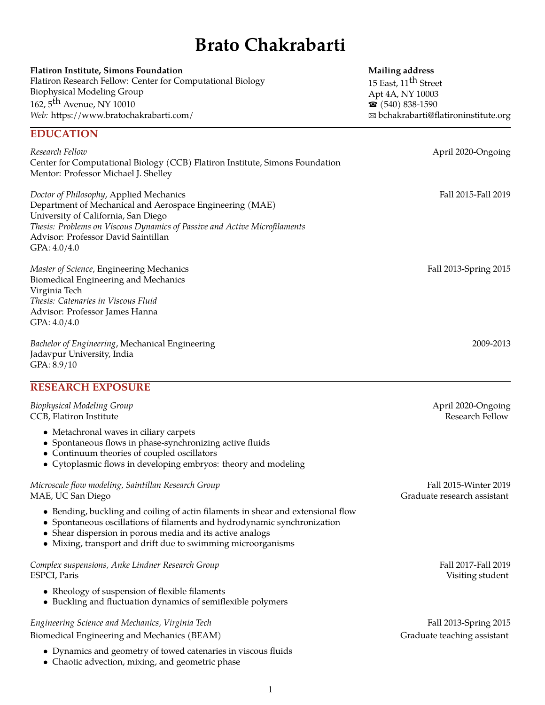# **Brato Chakrabarti**

| <b>Flatiron Institute, Simons Foundation</b>                                                                                                                                                                                                                                   | <b>Mailing address</b>               |
|--------------------------------------------------------------------------------------------------------------------------------------------------------------------------------------------------------------------------------------------------------------------------------|--------------------------------------|
| Flatiron Research Fellow: Center for Computational Biology                                                                                                                                                                                                                     | 15 East, 11 <sup>th</sup> Street     |
| <b>Biophysical Modeling Group</b>                                                                                                                                                                                                                                              | Apt 4A, NY 10003                     |
| 162, 5 <sup>th</sup> Avenue, NY 10010                                                                                                                                                                                                                                          | $\bullet$ (540) 838-1590             |
| Web: https://www.bratochakrabarti.com/                                                                                                                                                                                                                                         | ⊠ bchakrabarti@flatironinstitute.org |
| <b>EDUCATION</b>                                                                                                                                                                                                                                                               |                                      |
| Research Fellow<br>Center for Computational Biology (CCB) Flatiron Institute, Simons Foundation<br>Mentor: Professor Michael J. Shelley                                                                                                                                        | April 2020-Ongoing                   |
| Doctor of Philosophy, Applied Mechanics<br>Department of Mechanical and Aerospace Engineering (MAE)<br>University of California, San Diego<br>Thesis: Problems on Viscous Dynamics of Passive and Active Microfilaments<br>Advisor: Professor David Saintillan<br>GPA: 4.0/4.0 | Fall 2015-Fall 2019                  |
| Master of Science, Engineering Mechanics<br>Biomedical Engineering and Mechanics<br>Virginia Tech<br>Thesis: Catenaries in Viscous Fluid<br>Advisor: Professor James Hanna<br>GPA: 4.0/4.0                                                                                     | Fall 2013-Spring 2015                |
| Bachelor of Engineering, Mechanical Engineering<br>Jadavpur University, India<br>GPA: 8.9/10<br>$\blacksquare$                                                                                                                                                                 | 2009-2013                            |

## **RESEARCH EXPOSURE**

| <b>Biophysical Modeling Group</b>                                                                                                                 | April 2020-Ongoing |
|---------------------------------------------------------------------------------------------------------------------------------------------------|--------------------|
| CCB, Flatiron Institute                                                                                                                           | Research Fellow    |
| • Metachronal waves in ciliary carpets<br>• Spontaneous flows in phase-synchronizing active fluids<br>• Continuum theories of coupled oscillators |                    |
| • Cytoplasmic flows in developing embryos: theory and modeling                                                                                    |                    |

#### *Microscale flow modeling, Saintillan Research Group* Fall 2015-Winter 2019 MAE, UC San Diego

- Bending, buckling and coiling of actin filaments in shear and extensional flow
- Spontaneous oscillations of filaments and hydrodynamic synchronization
- Shear dispersion in porous media and its active analogs
- Mixing, transport and drift due to swimming microorganisms

#### *Complex suspensions, Anke Lindner Research Group* Fall 2017-Fall 2019 **Fall 2017-Fall 2019** ESPCI, Paris Visiting student

- Rheology of suspension of flexible filaments
- Buckling and fluctuation dynamics of semiflexible polymers

## *Engineering Science and Mechanics, Virginia Tech* Fall 2013-Spring 2015

- Biomedical Engineering and Mechanics (BEAM) Graduate teaching assistant
	- Dynamics and geometry of towed catenaries in viscous fluids
	- Chaotic advection, mixing, and geometric phase

| $1$ all $2U1$ . $7$ willie $2U1$ |  |
|----------------------------------|--|
| Graduate research assistant      |  |
|                                  |  |
|                                  |  |
|                                  |  |
|                                  |  |
|                                  |  |
| Fall 2017-Fall 2019              |  |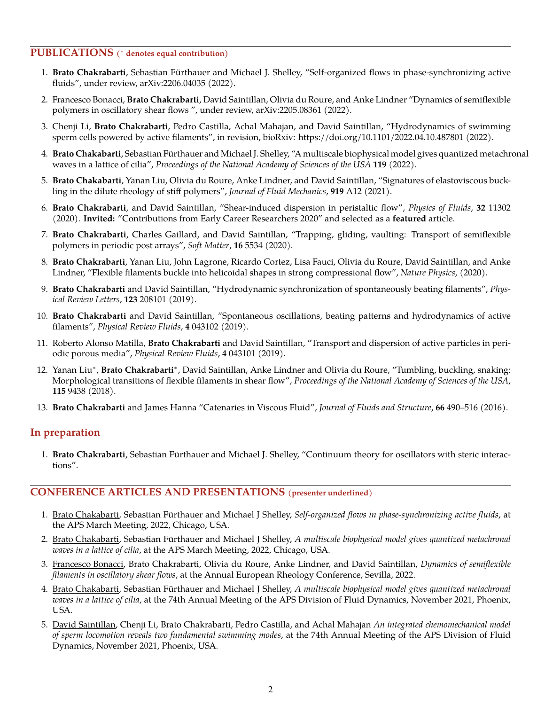#### **PUBLICATIONS (** <sup>∗</sup> **denotes equal contribution)**

- 1. **Brato Chakrabarti**, Sebastian Furthauer and Michael J. Shelley, "Self-organized flows in phase-synchronizing active ¨ fluids", under review, [arXiv:2206.04035](https://arxiv.org/abs/2206.04035) (2022).
- 2. Francesco Bonacci, **Brato Chakrabarti**, David Saintillan, Olivia du Roure, and Anke Lindner "Dynamics of semiflexible polymers in oscillatory shear flows ", under review, [arXiv:2205.08361](https://arxiv.org/abs/2205.08361) (2022).
- 3. Chenji Li, **Brato Chakrabarti**, Pedro Castilla, Achal Mahajan, and David Saintillan, "Hydrodynamics of swimming sperm cells powered by active filaments", in revision, bioRxiv:<https://doi.org/10.1101/2022.04.10.487801> (2022).
- 4. **Brato Chakabarti**, Sebastian Furthauer and Michael J. Shelley, "A multiscale biophysical model gives quantized metachronal ¨ waves in a lattice of cilia", *[Proceedings of the National Academy of Sciences of the USA](https://doi.org/10.1073/pnas.2113539119)* **119** (2022).
- 5. **Brato Chakabarti**, Yanan Liu, Olivia du Roure, Anke Lindner, and David Saintillan, "Signatures of elastoviscous buckling in the dilute rheology of stiff polymers", *[Journal of Fluid Mechanics](https://doi.org/10.1017/jfm.2021.383)*, **919** A12 (2021).
- 6. **Brato Chakrabarti**, and David Saintillan, "Shear-induced dispersion in peristaltic flow", *[Physics of Fluids](https://doi.org/10.1063/5.0030569)*, **32** 11302 (2020). **Invited:** "Contributions from Early Career Researchers 2020" and selected as a **featured** article.
- 7. **Brato Chakrabarti**, Charles Gaillard, and David Saintillan, "Trapping, gliding, vaulting: Transport of semiflexible polymers in periodic post arrays", *[Soft Matter](DOI https://doi.org/10.1039/D0SM00390E)*, **16** 5534 (2020).
- 8. **Brato Chakrabarti**, Yanan Liu, John Lagrone, Ricardo Cortez, Lisa Fauci, Olivia du Roure, David Saintillan, and Anke Lindner, "Flexible filaments buckle into helicoidal shapes in strong compressional flow", *[Nature Physics](https://doi.org/10.1038/s41567-020-0843-7)*, (2020).
- 9. **Brato Chakrabarti** and David Saintillan, "Hydrodynamic synchronization of spontaneously beating filaments", *[Phys](https://doi.org/10.1103/PhysRevLett.123.208101)[ical Review Letters](https://doi.org/10.1103/PhysRevLett.123.208101)*, **123** 208101 (2019).
- 10. **Brato Chakrabarti** and David Saintillan, "Spontaneous oscillations, beating patterns and hydrodynamics of active filaments", *[Physical Review Fluids](https://doi.org/10.1103/PhysRevFluids.4.043102)*, **4** 043102 (2019).
- 11. Roberto Alonso Matilla, **Brato Chakrabarti** and David Saintillan, "Transport and dispersion of active particles in periodic porous media", *[Physical Review Fluids](https://doi.org/10.1103/PhysRevFluids.4.043101)*, **4** 043101 (2019).
- 12. Yanan Liu<sup>∗</sup>, **Brato Chakrabarti**\*, David Saintillan, Anke Lindner and Olivia du Roure, "Tumbling, buckling, snaking: Morphological transitions of flexible filaments in shear flow", *[Proceedings of the National Academy of Sciences of the USA](https://doi.org/10.1073/pnas.1805399115)*, **115** 9438 (2018).
- 13. **Brato Chakrabarti** and James Hanna "Catenaries in Viscous Fluid", *[Journal of Fluids and Structure](https://doi.org/10.1016/j.jfluidstructs.2016.04.009)*, **66** 490–516 (2016).

### **In preparation**

1. Brato Chakrabarti, Sebastian Fürthauer and Michael J. Shelley, "Continuum theory for oscillators with steric interactions".

#### **CONFERENCE ARTICLES AND PRESENTATIONS (presenter underlined)**

- 1. Brato Chakabarti, Sebastian Fürthauer and Michael J Shelley, Self-organized flows in phase-synchronizing active fluids, at the APS March Meeting, 2022, Chicago, USA.
- 2. Brato Chakabarti, Sebastian Fürthauer and Michael J Shelley, A multiscale biophysical model gives quantized metachronal *waves in a lattice of cilia*, at the APS March Meeting, 2022, Chicago, USA.
- 3. Francesco Bonacci, Brato Chakrabarti, Olivia du Roure, Anke Lindner, and David Saintillan, *Dynamics of semiflexible filaments in oscillatory shear flows*, at the Annual European Rheology Conference, Sevilla, 2022.
- 4. Brato Chakabarti, Sebastian Fürthauer and Michael J Shelley, A multiscale biophysical model gives quantized metachronal *waves in a lattice of cilia*, at the 74th Annual Meeting of the APS Division of Fluid Dynamics, November 2021, Phoenix, USA.
- 5. David Saintillan, Chenji Li, Brato Chakrabarti, Pedro Castilla, and Achal Mahajan *An integrated chemomechanical model of sperm locomotion reveals two fundamental swimming modes*, at the 74th Annual Meeting of the APS Division of Fluid Dynamics, November 2021, Phoenix, USA.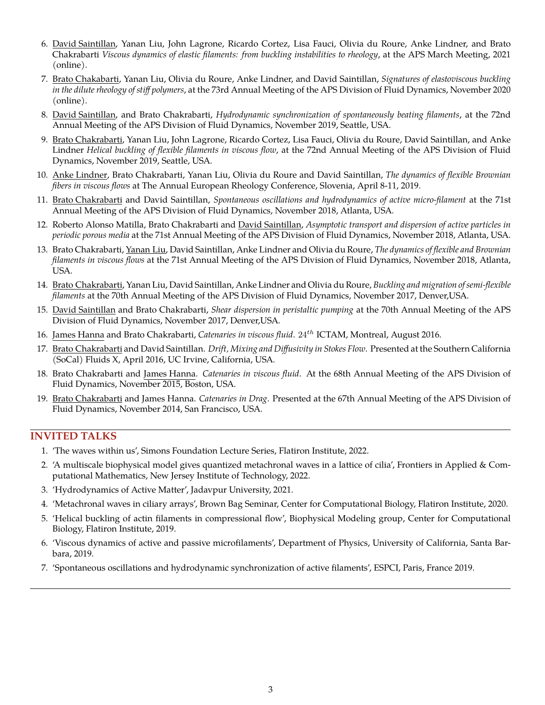- 6. David Saintillan, Yanan Liu, John Lagrone, Ricardo Cortez, Lisa Fauci, Olivia du Roure, Anke Lindner, and Brato Chakrabarti *Viscous dynamics of elastic filaments: from buckling instabilities to rheology*, at the APS March Meeting, 2021 (online).
- 7. Brato Chakabarti, Yanan Liu, Olivia du Roure, Anke Lindner, and David Saintillan, *Signatures of elastoviscous buckling in the dilute rheology of stiff polymers*, at the 73rd Annual Meeting of the APS Division of Fluid Dynamics, November 2020 (online).
- 8. David Saintillan, and Brato Chakrabarti, *Hydrodynamic synchronization of spontaneously beating filaments*, at the 72nd Annual Meeting of the APS Division of Fluid Dynamics, November 2019, Seattle, USA.
- 9. Brato Chakrabarti, Yanan Liu, John Lagrone, Ricardo Cortez, Lisa Fauci, Olivia du Roure, David Saintillan, and Anke Lindner *Helical buckling of flexible filaments in viscous flow*, at the 72nd Annual Meeting of the APS Division of Fluid Dynamics, November 2019, Seattle, USA.
- 10. Anke Lindner, Brato Chakrabarti, Yanan Liu, Olivia du Roure and David Saintillan, *The dynamics of flexible Brownian fibers in viscous flows* at The Annual European Rheology Conference, Slovenia, April 8-11, 2019.
- 11. Brato Chakrabarti and David Saintillan, *Spontaneous oscillations and hydrodynamics of active micro-filament* at the 71st Annual Meeting of the APS Division of Fluid Dynamics, November 2018, Atlanta, USA.
- 12. Roberto Alonso Matilla, Brato Chakrabarti and David Saintillan, *Asymptotic transport and dispersion of active particles in periodic porous media* at the 71st Annual Meeting of the APS Division of Fluid Dynamics, November 2018, Atlanta, USA.
- 13. Brato Chakrabarti, Yanan Liu, David Saintillan, Anke Lindner and Olivia du Roure, *The dynamics of flexible and Brownian filaments in viscous flows* at the 71st Annual Meeting of the APS Division of Fluid Dynamics, November 2018, Atlanta, USA.
- 14. Brato Chakrabarti, Yanan Liu, David Saintillan, Anke Lindner and Olivia du Roure, *Buckling and migration of semi-flexible filaments* at the 70th Annual Meeting of the APS Division of Fluid Dynamics, November 2017, Denver,USA.
- 15. David Saintillan and Brato Chakrabarti, *Shear dispersion in peristaltic pumping* at the 70th Annual Meeting of the APS Division of Fluid Dynamics, November 2017, Denver,USA.
- 16. James Hanna and Brato Chakrabarti, *Catenaries in viscous fluid*. 24th ICTAM, Montreal, August 2016.
- 17. Brato Chakrabarti and David Saintillan. *Drift, Mixing and Diffusivity in Stokes Flow*. Presented at the Southern California (SoCal) Fluids X, April 2016, UC Irvine, California, USA.
- 18. Brato Chakrabarti and James Hanna. *Catenaries in viscous fluid*. At the 68th Annual Meeting of the APS Division of Fluid Dynamics, November 2015, Boston, USA.
- 19. Brato Chakrabarti and James Hanna. *Catenaries in Drag*. Presented at the 67th Annual Meeting of the APS Division of Fluid Dynamics, November 2014, San Francisco, USA.

## **INVITED TALKS**

- 1. 'The waves within us', Simons Foundation Lecture Series, Flatiron Institute, 2022.
- 2. 'A multiscale biophysical model gives quantized metachronal waves in a lattice of cilia', Frontiers in Applied & Computational Mathematics, New Jersey Institute of Technology, 2022.
- 3. 'Hydrodynamics of Active Matter', Jadavpur University, 2021.
- 4. 'Metachronal waves in ciliary arrays', Brown Bag Seminar, Center for Computational Biology, Flatiron Institute, 2020.
- 5. 'Helical buckling of actin filaments in compressional flow', Biophysical Modeling group, Center for Computational Biology, Flatiron Institute, 2019.
- 6. 'Viscous dynamics of active and passive microfilaments', Department of Physics, University of California, Santa Barbara, 2019.
- 7. 'Spontaneous oscillations and hydrodynamic synchronization of active filaments', ESPCI, Paris, France 2019.